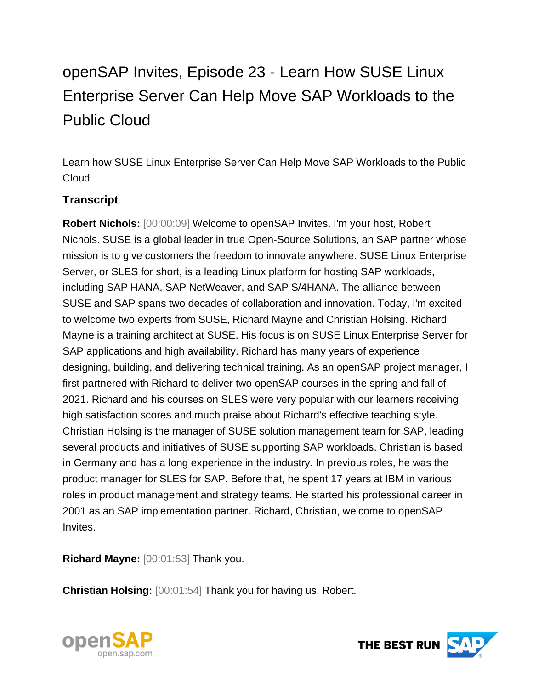## openSAP Invites, Episode 23 - Learn How SUSE Linux Enterprise Server Can Help Move SAP Workloads to the Public Cloud

Learn how SUSE Linux Enterprise Server Can Help Move SAP Workloads to the Public Cloud

## **Transcript**

**Robert Nichols:** [00:00:09] Welcome to openSAP Invites. I'm your host, Robert Nichols. SUSE is a global leader in true Open-Source Solutions, an SAP partner whose mission is to give customers the freedom to innovate anywhere. SUSE Linux Enterprise Server, or SLES for short, is a leading Linux platform for hosting SAP workloads, including SAP HANA, SAP NetWeaver, and SAP S/4HANA. The alliance between SUSE and SAP spans two decades of collaboration and innovation. Today, I'm excited to welcome two experts from SUSE, Richard Mayne and Christian Holsing. Richard Mayne is a training architect at SUSE. His focus is on SUSE Linux Enterprise Server for SAP applications and high availability. Richard has many years of experience designing, building, and delivering technical training. As an openSAP project manager, I first partnered with Richard to deliver two openSAP courses in the spring and fall of 2021. Richard and his courses on SLES were very popular with our learners receiving high satisfaction scores and much praise about Richard's effective teaching style. Christian Holsing is the manager of SUSE solution management team for SAP, leading several products and initiatives of SUSE supporting SAP workloads. Christian is based in Germany and has a long experience in the industry. In previous roles, he was the product manager for SLES for SAP. Before that, he spent 17 years at IBM in various roles in product management and strategy teams. He started his professional career in 2001 as an SAP implementation partner. Richard, Christian, welcome to openSAP Invites.

**Richard Mayne:** [00:01:53] Thank you.

**Christian Holsing:** [00:01:54] Thank you for having us, Robert.



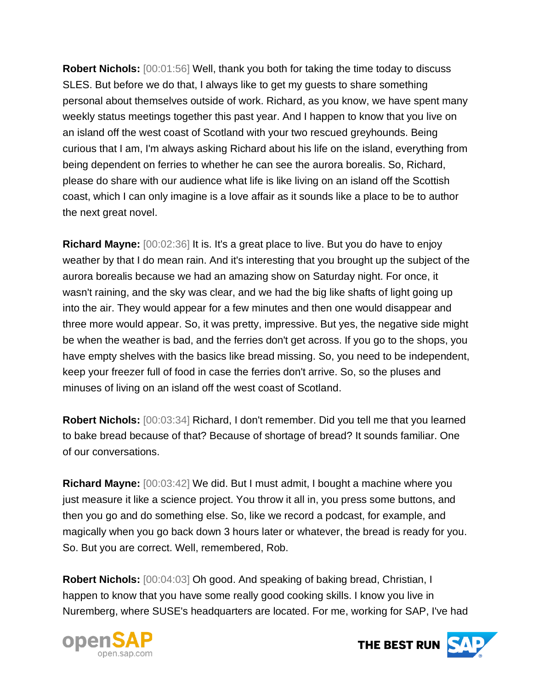**Robert Nichols:** [00:01:56] Well, thank you both for taking the time today to discuss SLES. But before we do that, I always like to get my guests to share something personal about themselves outside of work. Richard, as you know, we have spent many weekly status meetings together this past year. And I happen to know that you live on an island off the west coast of Scotland with your two rescued greyhounds. Being curious that I am, I'm always asking Richard about his life on the island, everything from being dependent on ferries to whether he can see the aurora borealis. So, Richard, please do share with our audience what life is like living on an island off the Scottish coast, which I can only imagine is a love affair as it sounds like a place to be to author the next great novel.

**Richard Mayne:** [00:02:36] It is. It's a great place to live. But you do have to enjoy weather by that I do mean rain. And it's interesting that you brought up the subject of the aurora borealis because we had an amazing show on Saturday night. For once, it wasn't raining, and the sky was clear, and we had the big like shafts of light going up into the air. They would appear for a few minutes and then one would disappear and three more would appear. So, it was pretty, impressive. But yes, the negative side might be when the weather is bad, and the ferries don't get across. If you go to the shops, you have empty shelves with the basics like bread missing. So, you need to be independent, keep your freezer full of food in case the ferries don't arrive. So, so the pluses and minuses of living on an island off the west coast of Scotland.

**Robert Nichols:** [00:03:34] Richard, I don't remember. Did you tell me that you learned to bake bread because of that? Because of shortage of bread? It sounds familiar. One of our conversations.

**Richard Mayne:** [00:03:42] We did. But I must admit, I bought a machine where you just measure it like a science project. You throw it all in, you press some buttons, and then you go and do something else. So, like we record a podcast, for example, and magically when you go back down 3 hours later or whatever, the bread is ready for you. So. But you are correct. Well, remembered, Rob.

**Robert Nichols:** [00:04:03] Oh good. And speaking of baking bread, Christian, I happen to know that you have some really good cooking skills. I know you live in Nuremberg, where SUSE's headquarters are located. For me, working for SAP, I've had



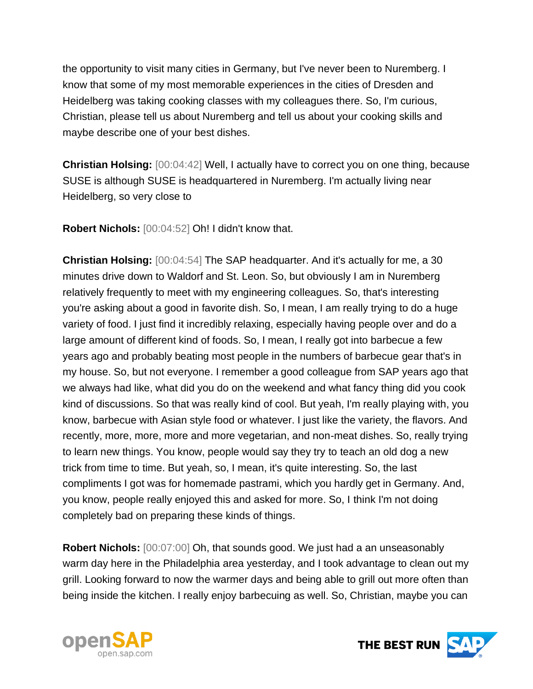the opportunity to visit many cities in Germany, but I've never been to Nuremberg. I know that some of my most memorable experiences in the cities of Dresden and Heidelberg was taking cooking classes with my colleagues there. So, I'm curious, Christian, please tell us about Nuremberg and tell us about your cooking skills and maybe describe one of your best dishes.

**Christian Holsing:** [00:04:42] Well, I actually have to correct you on one thing, because SUSE is although SUSE is headquartered in Nuremberg. I'm actually living near Heidelberg, so very close to

**Robert Nichols:** [00:04:52] Oh! I didn't know that.

**Christian Holsing:** [00:04:54] The SAP headquarter. And it's actually for me, a 30 minutes drive down to Waldorf and St. Leon. So, but obviously I am in Nuremberg relatively frequently to meet with my engineering colleagues. So, that's interesting you're asking about a good in favorite dish. So, I mean, I am really trying to do a huge variety of food. I just find it incredibly relaxing, especially having people over and do a large amount of different kind of foods. So, I mean, I really got into barbecue a few years ago and probably beating most people in the numbers of barbecue gear that's in my house. So, but not everyone. I remember a good colleague from SAP years ago that we always had like, what did you do on the weekend and what fancy thing did you cook kind of discussions. So that was really kind of cool. But yeah, I'm really playing with, you know, barbecue with Asian style food or whatever. I just like the variety, the flavors. And recently, more, more, more and more vegetarian, and non-meat dishes. So, really trying to learn new things. You know, people would say they try to teach an old dog a new trick from time to time. But yeah, so, I mean, it's quite interesting. So, the last compliments I got was for homemade pastrami, which you hardly get in Germany. And, you know, people really enjoyed this and asked for more. So, I think I'm not doing completely bad on preparing these kinds of things.

**Robert Nichols:** [00:07:00] Oh, that sounds good. We just had a an unseasonably warm day here in the Philadelphia area yesterday, and I took advantage to clean out my grill. Looking forward to now the warmer days and being able to grill out more often than being inside the kitchen. I really enjoy barbecuing as well. So, Christian, maybe you can



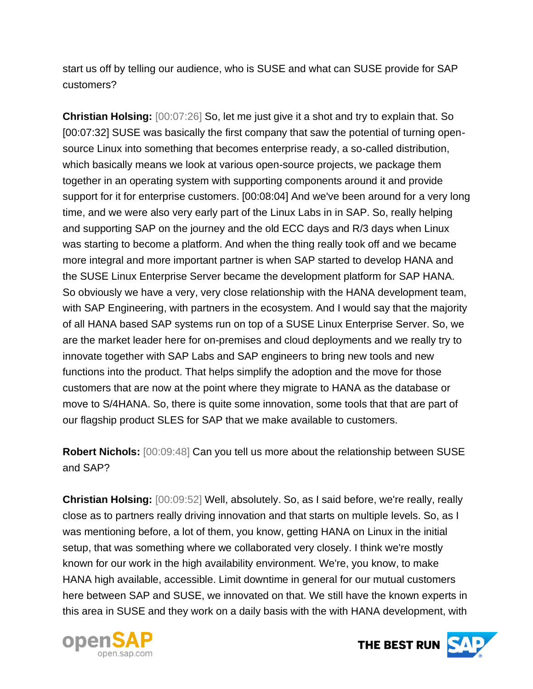start us off by telling our audience, who is SUSE and what can SUSE provide for SAP customers?

**Christian Holsing:** [00:07:26] So, let me just give it a shot and try to explain that. So [00:07:32] SUSE was basically the first company that saw the potential of turning opensource Linux into something that becomes enterprise ready, a so-called distribution, which basically means we look at various open-source projects, we package them together in an operating system with supporting components around it and provide support for it for enterprise customers. [00:08:04] And we've been around for a very long time, and we were also very early part of the Linux Labs in in SAP. So, really helping and supporting SAP on the journey and the old ECC days and R/3 days when Linux was starting to become a platform. And when the thing really took off and we became more integral and more important partner is when SAP started to develop HANA and the SUSE Linux Enterprise Server became the development platform for SAP HANA. So obviously we have a very, very close relationship with the HANA development team, with SAP Engineering, with partners in the ecosystem. And I would say that the majority of all HANA based SAP systems run on top of a SUSE Linux Enterprise Server. So, we are the market leader here for on-premises and cloud deployments and we really try to innovate together with SAP Labs and SAP engineers to bring new tools and new functions into the product. That helps simplify the adoption and the move for those customers that are now at the point where they migrate to HANA as the database or move to S/4HANA. So, there is quite some innovation, some tools that that are part of our flagship product SLES for SAP that we make available to customers.

**Robert Nichols:** [00:09:48] Can you tell us more about the relationship between SUSE and SAP?

**Christian Holsing:** [00:09:52] Well, absolutely. So, as I said before, we're really, really close as to partners really driving innovation and that starts on multiple levels. So, as I was mentioning before, a lot of them, you know, getting HANA on Linux in the initial setup, that was something where we collaborated very closely. I think we're mostly known for our work in the high availability environment. We're, you know, to make HANA high available, accessible. Limit downtime in general for our mutual customers here between SAP and SUSE, we innovated on that. We still have the known experts in this area in SUSE and they work on a daily basis with the with HANA development, with



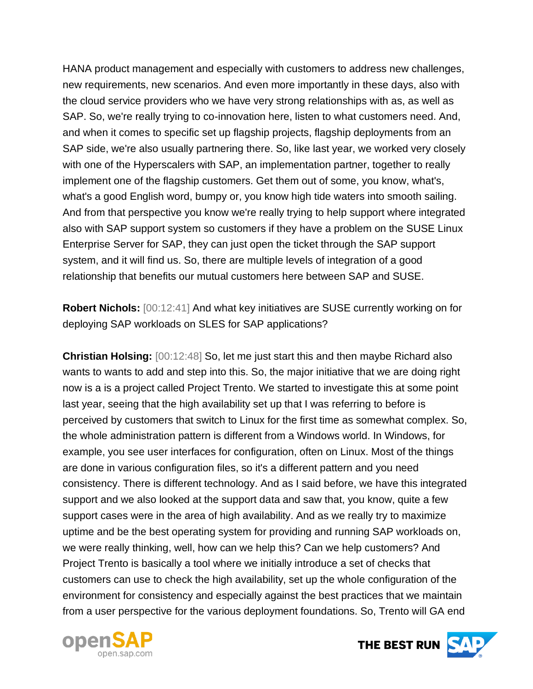HANA product management and especially with customers to address new challenges, new requirements, new scenarios. And even more importantly in these days, also with the cloud service providers who we have very strong relationships with as, as well as SAP. So, we're really trying to co-innovation here, listen to what customers need. And, and when it comes to specific set up flagship projects, flagship deployments from an SAP side, we're also usually partnering there. So, like last year, we worked very closely with one of the Hyperscalers with SAP, an implementation partner, together to really implement one of the flagship customers. Get them out of some, you know, what's, what's a good English word, bumpy or, you know high tide waters into smooth sailing. And from that perspective you know we're really trying to help support where integrated also with SAP support system so customers if they have a problem on the SUSE Linux Enterprise Server for SAP, they can just open the ticket through the SAP support system, and it will find us. So, there are multiple levels of integration of a good relationship that benefits our mutual customers here between SAP and SUSE.

**Robert Nichols:** [00:12:41] And what key initiatives are SUSE currently working on for deploying SAP workloads on SLES for SAP applications?

**Christian Holsing:** [00:12:48] So, let me just start this and then maybe Richard also wants to wants to add and step into this. So, the major initiative that we are doing right now is a is a project called Project Trento. We started to investigate this at some point last year, seeing that the high availability set up that I was referring to before is perceived by customers that switch to Linux for the first time as somewhat complex. So, the whole administration pattern is different from a Windows world. In Windows, for example, you see user interfaces for configuration, often on Linux. Most of the things are done in various configuration files, so it's a different pattern and you need consistency. There is different technology. And as I said before, we have this integrated support and we also looked at the support data and saw that, you know, quite a few support cases were in the area of high availability. And as we really try to maximize uptime and be the best operating system for providing and running SAP workloads on, we were really thinking, well, how can we help this? Can we help customers? And Project Trento is basically a tool where we initially introduce a set of checks that customers can use to check the high availability, set up the whole configuration of the environment for consistency and especially against the best practices that we maintain from a user perspective for the various deployment foundations. So, Trento will GA end



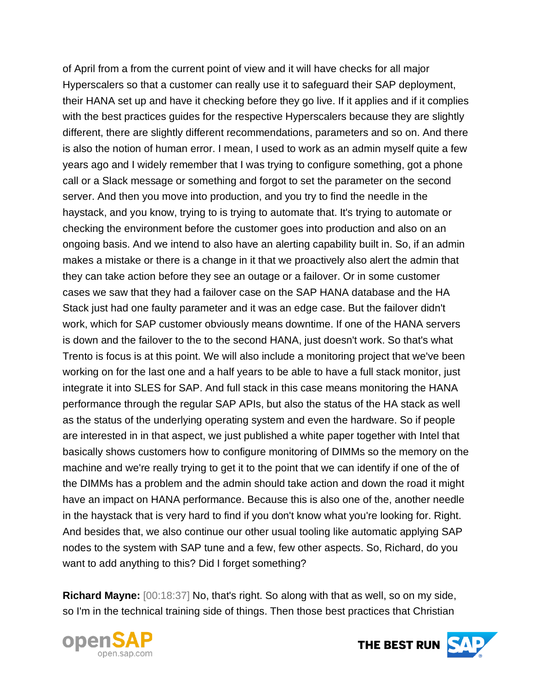of April from a from the current point of view and it will have checks for all major Hyperscalers so that a customer can really use it to safeguard their SAP deployment, their HANA set up and have it checking before they go live. If it applies and if it complies with the best practices guides for the respective Hyperscalers because they are slightly different, there are slightly different recommendations, parameters and so on. And there is also the notion of human error. I mean, I used to work as an admin myself quite a few years ago and I widely remember that I was trying to configure something, got a phone call or a Slack message or something and forgot to set the parameter on the second server. And then you move into production, and you try to find the needle in the haystack, and you know, trying to is trying to automate that. It's trying to automate or checking the environment before the customer goes into production and also on an ongoing basis. And we intend to also have an alerting capability built in. So, if an admin makes a mistake or there is a change in it that we proactively also alert the admin that they can take action before they see an outage or a failover. Or in some customer cases we saw that they had a failover case on the SAP HANA database and the HA Stack just had one faulty parameter and it was an edge case. But the failover didn't work, which for SAP customer obviously means downtime. If one of the HANA servers is down and the failover to the to the second HANA, just doesn't work. So that's what Trento is focus is at this point. We will also include a monitoring project that we've been working on for the last one and a half years to be able to have a full stack monitor, just integrate it into SLES for SAP. And full stack in this case means monitoring the HANA performance through the regular SAP APIs, but also the status of the HA stack as well as the status of the underlying operating system and even the hardware. So if people are interested in in that aspect, we just published a white paper together with Intel that basically shows customers how to configure monitoring of DIMMs so the memory on the machine and we're really trying to get it to the point that we can identify if one of the of the DIMMs has a problem and the admin should take action and down the road it might have an impact on HANA performance. Because this is also one of the, another needle in the haystack that is very hard to find if you don't know what you're looking for. Right. And besides that, we also continue our other usual tooling like automatic applying SAP nodes to the system with SAP tune and a few, few other aspects. So, Richard, do you want to add anything to this? Did I forget something?

**Richard Mayne:** [00:18:37] No, that's right. So along with that as well, so on my side, so I'm in the technical training side of things. Then those best practices that Christian



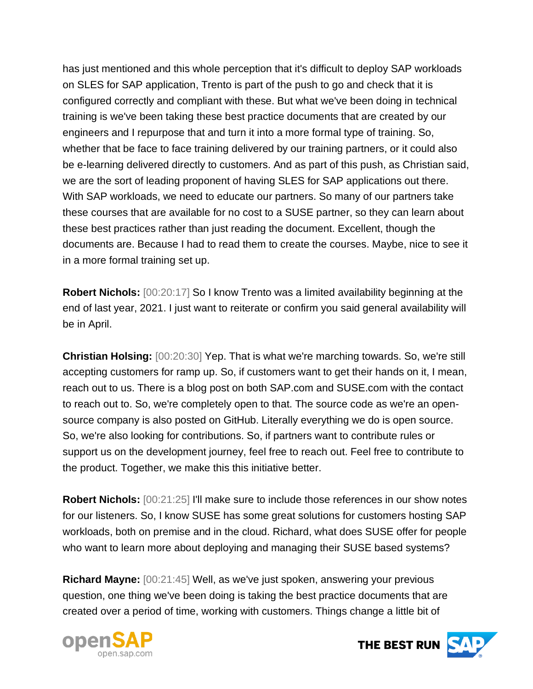has just mentioned and this whole perception that it's difficult to deploy SAP workloads on SLES for SAP application, Trento is part of the push to go and check that it is configured correctly and compliant with these. But what we've been doing in technical training is we've been taking these best practice documents that are created by our engineers and I repurpose that and turn it into a more formal type of training. So, whether that be face to face training delivered by our training partners, or it could also be e-learning delivered directly to customers. And as part of this push, as Christian said, we are the sort of leading proponent of having SLES for SAP applications out there. With SAP workloads, we need to educate our partners. So many of our partners take these courses that are available for no cost to a SUSE partner, so they can learn about these best practices rather than just reading the document. Excellent, though the documents are. Because I had to read them to create the courses. Maybe, nice to see it in a more formal training set up.

**Robert Nichols:** [00:20:17] So I know Trento was a limited availability beginning at the end of last year, 2021. I just want to reiterate or confirm you said general availability will be in April.

**Christian Holsing:** [00:20:30] Yep. That is what we're marching towards. So, we're still accepting customers for ramp up. So, if customers want to get their hands on it, I mean, reach out to us. There is a blog post on both SAP.com and SUSE.com with the contact to reach out to. So, we're completely open to that. The source code as we're an opensource company is also posted on GitHub. Literally everything we do is open source. So, we're also looking for contributions. So, if partners want to contribute rules or support us on the development journey, feel free to reach out. Feel free to contribute to the product. Together, we make this this initiative better.

**Robert Nichols:** [00:21:25] I'll make sure to include those references in our show notes for our listeners. So, I know SUSE has some great solutions for customers hosting SAP workloads, both on premise and in the cloud. Richard, what does SUSE offer for people who want to learn more about deploying and managing their SUSE based systems?

**Richard Mayne:** [00:21:45] Well, as we've just spoken, answering your previous question, one thing we've been doing is taking the best practice documents that are created over a period of time, working with customers. Things change a little bit of



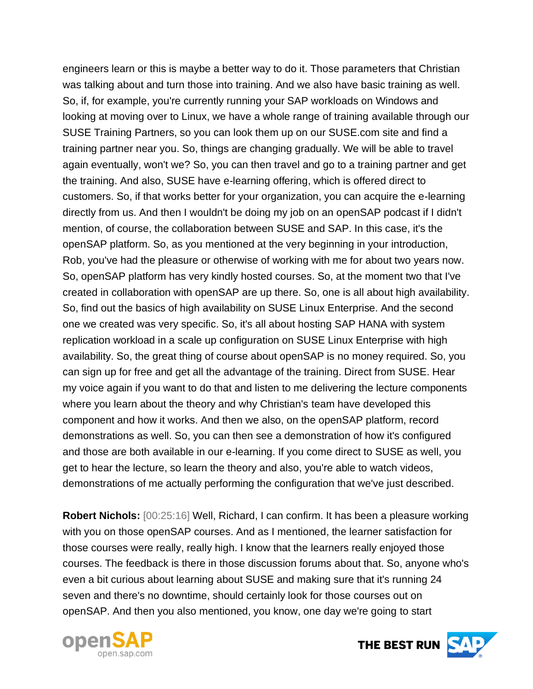engineers learn or this is maybe a better way to do it. Those parameters that Christian was talking about and turn those into training. And we also have basic training as well. So, if, for example, you're currently running your SAP workloads on Windows and looking at moving over to Linux, we have a whole range of training available through our SUSE Training Partners, so you can look them up on our SUSE.com site and find a training partner near you. So, things are changing gradually. We will be able to travel again eventually, won't we? So, you can then travel and go to a training partner and get the training. And also, SUSE have e-learning offering, which is offered direct to customers. So, if that works better for your organization, you can acquire the e-learning directly from us. And then I wouldn't be doing my job on an openSAP podcast if I didn't mention, of course, the collaboration between SUSE and SAP. In this case, it's the openSAP platform. So, as you mentioned at the very beginning in your introduction, Rob, you've had the pleasure or otherwise of working with me for about two years now. So, openSAP platform has very kindly hosted courses. So, at the moment two that I've created in collaboration with openSAP are up there. So, one is all about high availability. So, find out the basics of high availability on SUSE Linux Enterprise. And the second one we created was very specific. So, it's all about hosting SAP HANA with system replication workload in a scale up configuration on SUSE Linux Enterprise with high availability. So, the great thing of course about openSAP is no money required. So, you can sign up for free and get all the advantage of the training. Direct from SUSE. Hear my voice again if you want to do that and listen to me delivering the lecture components where you learn about the theory and why Christian's team have developed this component and how it works. And then we also, on the openSAP platform, record demonstrations as well. So, you can then see a demonstration of how it's configured and those are both available in our e-learning. If you come direct to SUSE as well, you get to hear the lecture, so learn the theory and also, you're able to watch videos, demonstrations of me actually performing the configuration that we've just described.

**Robert Nichols:** [00:25:16] Well, Richard, I can confirm. It has been a pleasure working with you on those openSAP courses. And as I mentioned, the learner satisfaction for those courses were really, really high. I know that the learners really enjoyed those courses. The feedback is there in those discussion forums about that. So, anyone who's even a bit curious about learning about SUSE and making sure that it's running 24 seven and there's no downtime, should certainly look for those courses out on openSAP. And then you also mentioned, you know, one day we're going to start



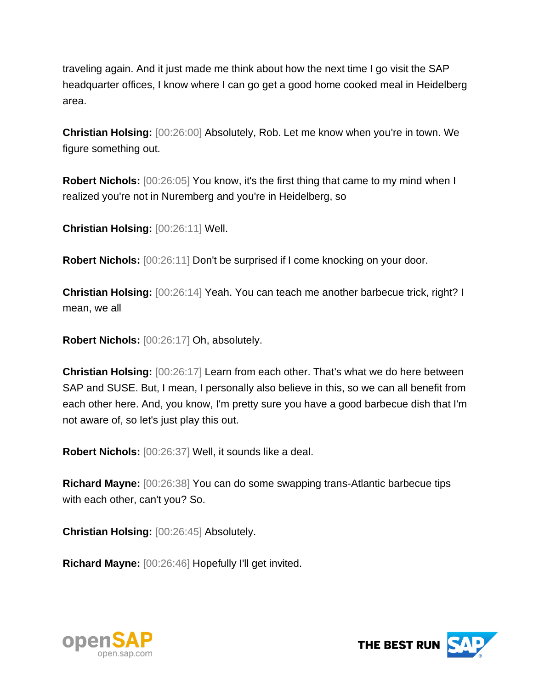traveling again. And it just made me think about how the next time I go visit the SAP headquarter offices, I know where I can go get a good home cooked meal in Heidelberg area.

**Christian Holsing:** [00:26:00] Absolutely, Rob. Let me know when you're in town. We figure something out.

**Robert Nichols:** [00:26:05] You know, it's the first thing that came to my mind when I realized you're not in Nuremberg and you're in Heidelberg, so

**Christian Holsing:** [00:26:11] Well.

**Robert Nichols:** [00:26:11] Don't be surprised if I come knocking on your door.

**Christian Holsing:** [00:26:14] Yeah. You can teach me another barbecue trick, right? I mean, we all

**Robert Nichols:** [00:26:17] Oh, absolutely.

**Christian Holsing:** [00:26:17] Learn from each other. That's what we do here between SAP and SUSE. But, I mean, I personally also believe in this, so we can all benefit from each other here. And, you know, I'm pretty sure you have a good barbecue dish that I'm not aware of, so let's just play this out.

**Robert Nichols:** [00:26:37] Well, it sounds like a deal.

**Richard Mayne:** [00:26:38] You can do some swapping trans-Atlantic barbecue tips with each other, can't you? So.

**Christian Holsing:** [00:26:45] Absolutely.

**Richard Mayne:** [00:26:46] Hopefully I'll get invited.



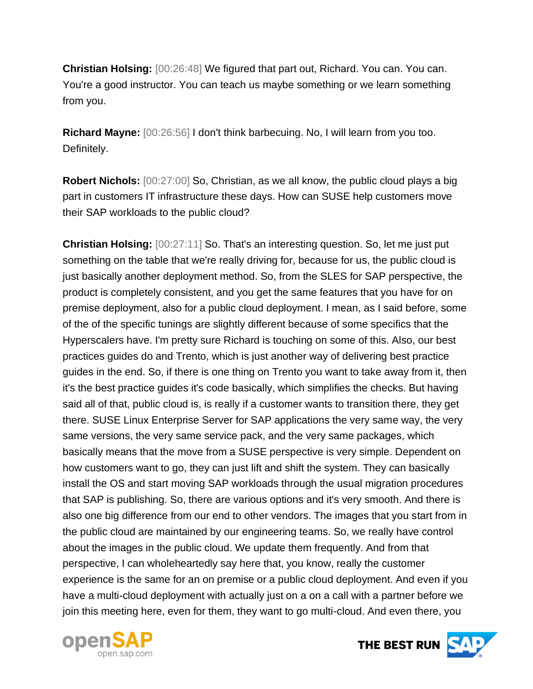**Christian Holsing:** [00:26:48] We figured that part out, Richard. You can. You can. You're a good instructor. You can teach us maybe something or we learn something from you.

**Richard Mayne:** [00:26:56] I don't think barbecuing. No, I will learn from you too. Definitely.

**Robert Nichols:** [00:27:00] So, Christian, as we all know, the public cloud plays a big part in customers IT infrastructure these days. How can SUSE help customers move their SAP workloads to the public cloud?

**Christian Holsing:** [00:27:11] So. That's an interesting question. So, let me just put something on the table that we're really driving for, because for us, the public cloud is just basically another deployment method. So, from the SLES for SAP perspective, the product is completely consistent, and you get the same features that you have for on premise deployment, also for a public cloud deployment. I mean, as I said before, some of the of the specific tunings are slightly different because of some specifics that the Hyperscalers have. I'm pretty sure Richard is touching on some of this. Also, our best practices guides do and Trento, which is just another way of delivering best practice guides in the end. So, if there is one thing on Trento you want to take away from it, then it's the best practice guides it's code basically, which simplifies the checks. But having said all of that, public cloud is, is really if a customer wants to transition there, they get there. SUSE Linux Enterprise Server for SAP applications the very same way, the very same versions, the very same service pack, and the very same packages, which basically means that the move from a SUSE perspective is very simple. Dependent on how customers want to go, they can just lift and shift the system. They can basically install the OS and start moving SAP workloads through the usual migration procedures that SAP is publishing. So, there are various options and it's very smooth. And there is also one big difference from our end to other vendors. The images that you start from in the public cloud are maintained by our engineering teams. So, we really have control about the images in the public cloud. We update them frequently. And from that perspective, I can wholeheartedly say here that, you know, really the customer experience is the same for an on premise or a public cloud deployment. And even if you have a multi-cloud deployment with actually just on a on a call with a partner before we join this meeting here, even for them, they want to go multi-cloud. And even there, you



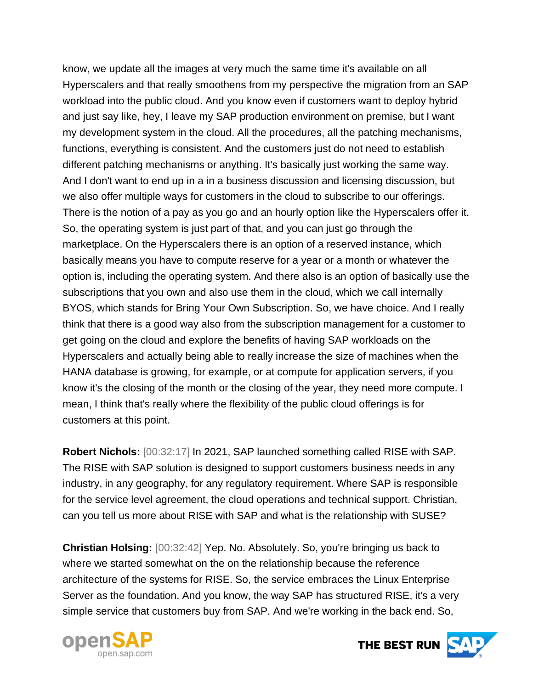know, we update all the images at very much the same time it's available on all Hyperscalers and that really smoothens from my perspective the migration from an SAP workload into the public cloud. And you know even if customers want to deploy hybrid and just say like, hey, I leave my SAP production environment on premise, but I want my development system in the cloud. All the procedures, all the patching mechanisms, functions, everything is consistent. And the customers just do not need to establish different patching mechanisms or anything. It's basically just working the same way. And I don't want to end up in a in a business discussion and licensing discussion, but we also offer multiple ways for customers in the cloud to subscribe to our offerings. There is the notion of a pay as you go and an hourly option like the Hyperscalers offer it. So, the operating system is just part of that, and you can just go through the marketplace. On the Hyperscalers there is an option of a reserved instance, which basically means you have to compute reserve for a year or a month or whatever the option is, including the operating system. And there also is an option of basically use the subscriptions that you own and also use them in the cloud, which we call internally BYOS, which stands for Bring Your Own Subscription. So, we have choice. And I really think that there is a good way also from the subscription management for a customer to get going on the cloud and explore the benefits of having SAP workloads on the Hyperscalers and actually being able to really increase the size of machines when the HANA database is growing, for example, or at compute for application servers, if you know it's the closing of the month or the closing of the year, they need more compute. I mean, I think that's really where the flexibility of the public cloud offerings is for customers at this point.

**Robert Nichols:** [00:32:17] In 2021, SAP launched something called RISE with SAP. The RISE with SAP solution is designed to support customers business needs in any industry, in any geography, for any regulatory requirement. Where SAP is responsible for the service level agreement, the cloud operations and technical support. Christian, can you tell us more about RISE with SAP and what is the relationship with SUSE?

**Christian Holsing:** [00:32:42] Yep. No. Absolutely. So, you're bringing us back to where we started somewhat on the on the relationship because the reference architecture of the systems for RISE. So, the service embraces the Linux Enterprise Server as the foundation. And you know, the way SAP has structured RISE, it's a very simple service that customers buy from SAP. And we're working in the back end. So,



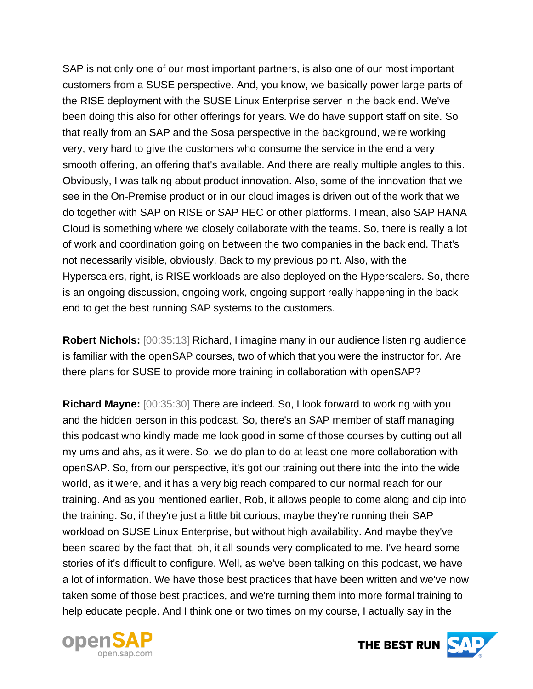SAP is not only one of our most important partners, is also one of our most important customers from a SUSE perspective. And, you know, we basically power large parts of the RISE deployment with the SUSE Linux Enterprise server in the back end. We've been doing this also for other offerings for years. We do have support staff on site. So that really from an SAP and the Sosa perspective in the background, we're working very, very hard to give the customers who consume the service in the end a very smooth offering, an offering that's available. And there are really multiple angles to this. Obviously, I was talking about product innovation. Also, some of the innovation that we see in the On-Premise product or in our cloud images is driven out of the work that we do together with SAP on RISE or SAP HEC or other platforms. I mean, also SAP HANA Cloud is something where we closely collaborate with the teams. So, there is really a lot of work and coordination going on between the two companies in the back end. That's not necessarily visible, obviously. Back to my previous point. Also, with the Hyperscalers, right, is RISE workloads are also deployed on the Hyperscalers. So, there is an ongoing discussion, ongoing work, ongoing support really happening in the back end to get the best running SAP systems to the customers.

**Robert Nichols:** [00:35:13] Richard, I imagine many in our audience listening audience is familiar with the openSAP courses, two of which that you were the instructor for. Are there plans for SUSE to provide more training in collaboration with openSAP?

**Richard Mayne:** [00:35:30] There are indeed. So, I look forward to working with you and the hidden person in this podcast. So, there's an SAP member of staff managing this podcast who kindly made me look good in some of those courses by cutting out all my ums and ahs, as it were. So, we do plan to do at least one more collaboration with openSAP. So, from our perspective, it's got our training out there into the into the wide world, as it were, and it has a very big reach compared to our normal reach for our training. And as you mentioned earlier, Rob, it allows people to come along and dip into the training. So, if they're just a little bit curious, maybe they're running their SAP workload on SUSE Linux Enterprise, but without high availability. And maybe they've been scared by the fact that, oh, it all sounds very complicated to me. I've heard some stories of it's difficult to configure. Well, as we've been talking on this podcast, we have a lot of information. We have those best practices that have been written and we've now taken some of those best practices, and we're turning them into more formal training to help educate people. And I think one or two times on my course, I actually say in the



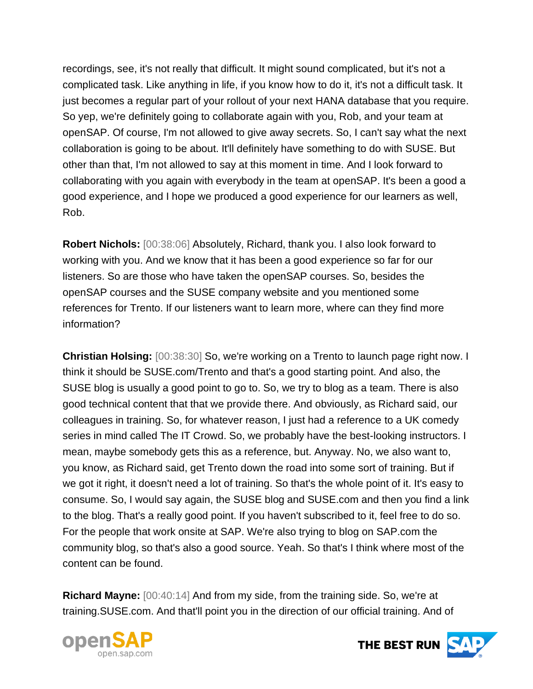recordings, see, it's not really that difficult. It might sound complicated, but it's not a complicated task. Like anything in life, if you know how to do it, it's not a difficult task. It just becomes a regular part of your rollout of your next HANA database that you require. So yep, we're definitely going to collaborate again with you, Rob, and your team at openSAP. Of course, I'm not allowed to give away secrets. So, I can't say what the next collaboration is going to be about. It'll definitely have something to do with SUSE. But other than that, I'm not allowed to say at this moment in time. And I look forward to collaborating with you again with everybody in the team at openSAP. It's been a good a good experience, and I hope we produced a good experience for our learners as well, Rob.

**Robert Nichols:** [00:38:06] Absolutely, Richard, thank you. I also look forward to working with you. And we know that it has been a good experience so far for our listeners. So are those who have taken the openSAP courses. So, besides the openSAP courses and the SUSE company website and you mentioned some references for Trento. If our listeners want to learn more, where can they find more information?

**Christian Holsing:** [00:38:30] So, we're working on a Trento to launch page right now. I think it should be SUSE.com/Trento and that's a good starting point. And also, the SUSE blog is usually a good point to go to. So, we try to blog as a team. There is also good technical content that that we provide there. And obviously, as Richard said, our colleagues in training. So, for whatever reason, I just had a reference to a UK comedy series in mind called The IT Crowd. So, we probably have the best-looking instructors. I mean, maybe somebody gets this as a reference, but. Anyway. No, we also want to, you know, as Richard said, get Trento down the road into some sort of training. But if we got it right, it doesn't need a lot of training. So that's the whole point of it. It's easy to consume. So, I would say again, the SUSE blog and SUSE.com and then you find a link to the blog. That's a really good point. If you haven't subscribed to it, feel free to do so. For the people that work onsite at SAP. We're also trying to blog on SAP.com the community blog, so that's also a good source. Yeah. So that's I think where most of the content can be found.

**Richard Mayne:** [00:40:14] And from my side, from the training side. So, we're at training.SUSE.com. And that'll point you in the direction of our official training. And of



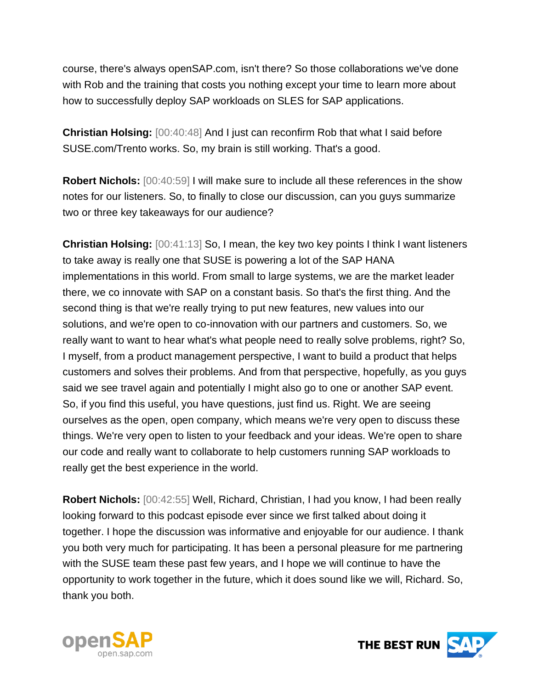course, there's always openSAP.com, isn't there? So those collaborations we've done with Rob and the training that costs you nothing except your time to learn more about how to successfully deploy SAP workloads on SLES for SAP applications.

**Christian Holsing:** [00:40:48] And I just can reconfirm Rob that what I said before SUSE.com/Trento works. So, my brain is still working. That's a good.

**Robert Nichols:** [00:40:59] I will make sure to include all these references in the show notes for our listeners. So, to finally to close our discussion, can you guys summarize two or three key takeaways for our audience?

**Christian Holsing:** [00:41:13] So, I mean, the key two key points I think I want listeners to take away is really one that SUSE is powering a lot of the SAP HANA implementations in this world. From small to large systems, we are the market leader there, we co innovate with SAP on a constant basis. So that's the first thing. And the second thing is that we're really trying to put new features, new values into our solutions, and we're open to co-innovation with our partners and customers. So, we really want to want to hear what's what people need to really solve problems, right? So, I myself, from a product management perspective, I want to build a product that helps customers and solves their problems. And from that perspective, hopefully, as you guys said we see travel again and potentially I might also go to one or another SAP event. So, if you find this useful, you have questions, just find us. Right. We are seeing ourselves as the open, open company, which means we're very open to discuss these things. We're very open to listen to your feedback and your ideas. We're open to share our code and really want to collaborate to help customers running SAP workloads to really get the best experience in the world.

**Robert Nichols:** [00:42:55] Well, Richard, Christian, I had you know, I had been really looking forward to this podcast episode ever since we first talked about doing it together. I hope the discussion was informative and enjoyable for our audience. I thank you both very much for participating. It has been a personal pleasure for me partnering with the SUSE team these past few years, and I hope we will continue to have the opportunity to work together in the future, which it does sound like we will, Richard. So, thank you both.